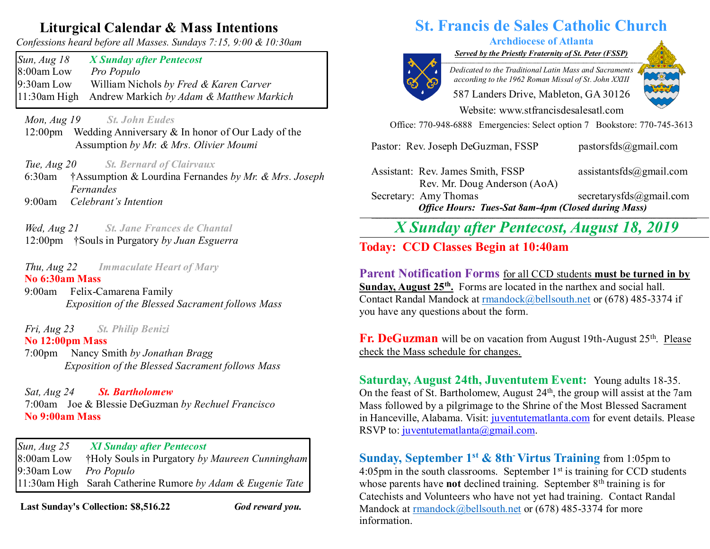## **Liturgical Calendar & Mass Intentions**

*Confessions heard before all Masses. Sundays 7:15, 9:00 & 10:30am*

*Sun, Aug 18 X Sunday after Pentecost* 8:00am Low *Pro Populo* 9:30am Low William Nichols *by Fred & Karen Carver* 11:30am High Andrew Markich *by Adam & Matthew Markich*

*Mon, Aug 19 St. John Eudes* 

- 12:00pm Wedding Anniversary & In honor of Our Lady of the Assumption *by Mr. & Mrs. Olivier Moumi*
- *Tue, Aug 20 St. Bernard of Clairvaux*
- 6:30am †Assumption & Lourdina Fernandes *by Mr. & Mrs. Joseph Fernandes* 9:00am *Celebrant's Intention*
- *Wed, Aug 21 St. Jane Frances de Chantal*
- 12:00pm †Souls in Purgatory *by Juan Esguerra*

#### *Thu, Aug 22 Immaculate Heart of Mary* **No 6:30am Mass**

9:00am Felix-Camarena Family *Exposition of the Blessed Sacrament follows Mass*

 *Fri, Aug 23 St. Philip Benizi*

#### **No 12:00pm Mass**

 7:00pm Nancy Smith *by Jonathan Bragg Exposition of the Blessed Sacrament follows Mass*

 *Sat, Aug 24 St. Bartholomew* 7:00am Joe & Blessie DeGuzman *by Rechuel Francisco*  **No 9:00am Mass** 

*Sun, Aug 25 XI Sunday after Pentecost*  8:00am Low †Holy Souls in Purgatory *by Maureen Cunningham* 9:30am Low *Pro Populo* 11:30am High Sarah Catherine Rumore *by Adam & Eugenie Tate*

**Last Sunday's Collection: \$8,516.22** *God reward you.*

## **St. Francis de Sales Catholic Church**

#### **Archdiocese of Atlanta**

*Served by the Priestly Fraternity of St. Peter (FSSP) \_\_\_\_\_\_\_\_\_\_\_\_\_\_\_\_\_\_\_\_\_\_\_\_\_\_\_\_\_\_\_\_\_\_\_\_\_\_\_\_\_\_\_\_\_\_\_\_\_\_\_\_\_\_\_\_\_\_\_\_\_\_\_\_\_\_\_\_\_\_\_\_\_\_\_*



*Dedicated to the Traditional Latin Mass and Sacraments according to the 1962 Roman Missal of St. John XXIII*

587 Landers Drive, Mableton, GA 30126 Website: [www.stfrancisdesalesatl.com](http://www.stfrancisdesalesatl.com/)

Office: 770-948-6888 Emergencies: Select option 7 Bookstore: 770-745-3613

Pastor: Rev. Joseph DeGuzman, FSSP [pastorsfds@gm](mailto:pastorsfds@gm)[ail.com](mailto:pastorsfds@gmail.com)

Assistant: Rev. James Smith, FSSP [assistantsfds@gmail.com](mailto:assistantsfds@gmail.com) Rev. Mr. Doug Anderson (AoA)

Secretary: Amy Thomas [secretarysfds@gmail.com](mailto:secretarysfds@gmail.com) *Office Hours: Tues-Sat 8am-4pm (Closed during Mass)* **\_\_\_\_\_\_\_\_\_\_\_\_\_\_\_\_\_\_\_\_\_\_\_\_\_\_\_\_\_\_\_\_\_\_\_\_\_\_\_\_\_\_\_\_\_\_\_\_\_\_\_\_\_\_\_\_\_\_\_\_\_\_\_\_\_\_\_\_\_\_\_\_\_\_\_\_\_\_\_\_\_\_\_\_\_\_\_\_\_\_\_\_\_\_\_\_\_\_\_\_\_\_\_\_\_\_\_\_\_\_\_\_\_\_\_\_\_\_\_\_\_**

*X Sunday after Pentecost, August 18, 2019*

# **Today:** CCD Classes Begin at 10:40am

**Parent Notification Forms** for all CCD students **must be turned in by Sunday, August 25<sup>th</sup>**, Forms are located in the narthex and social hall. Contact Randal Mandock at [rmandock@bellsouth.net](mailto:rmandock@bellsouth.net) or (678) 485-3374 if you have any questions about the form.

Fr. DeGuzman will be on vacation from August 19th-August 25<sup>th</sup>. Please check the Mass schedule for changes.

**Saturday, August 24th, Juventutem Event:** Young adults 18-35. On the feast of St. Bartholomew, August  $24<sup>th</sup>$ , the group will assist at the 7am Mass followed by a pilgrimage to the Shrine of the Most Blessed Sacrament in Hanceville, Alabama. Visit: [juventutematlanta.com](http://juventutematlanta.com/) for event details. Please RSVP to: [juventutematlanta@gmail.com.](mailto:juventutematlanta@gmail.com)

**Sunday, September 1<sup>st</sup> & 8th<sup>-</sup> Virtus Training** from 1:05pm to 4:05pm in the south classrooms. September  $1<sup>st</sup>$  is training for CCD students whose parents have **not** declined training. September 8<sup>th</sup> training is for Catechists and Volunteers who have not yet had training. Contact Randal Mandock at [rmandock@bellsouth.net](mailto:rmandock@bellsouth.net) or (678) 485-3374 for more information.